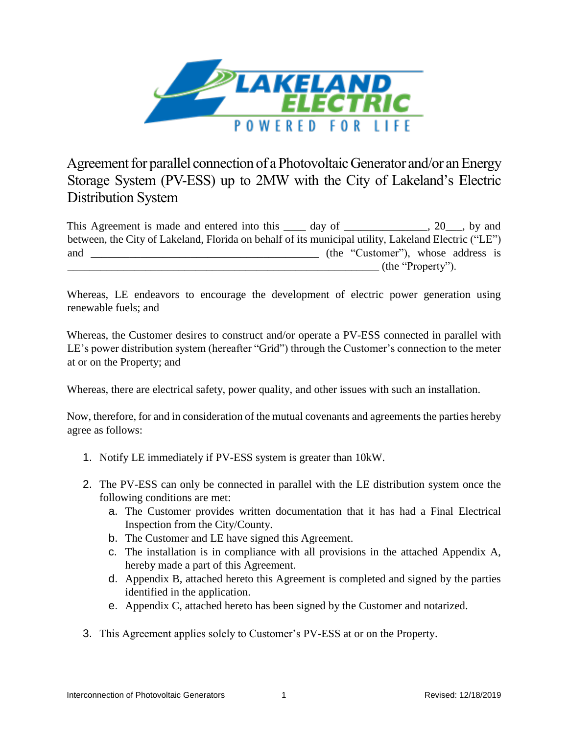

Agreement for parallel connection of a Photovoltaic Generator and/or an Energy Storage System (PV-ESS) up to 2MW with the City of Lakeland's Electric Distribution System

This Agreement is made and entered into this \_\_\_\_ day of \_\_\_\_\_\_\_\_\_\_\_\_, 20\_\_, by and between, the City of Lakeland, Florida on behalf of its municipal utility, Lakeland Electric ("LE") and \_\_\_\_\_\_\_\_\_\_\_\_\_\_\_\_\_\_\_\_\_\_\_\_\_\_\_\_\_\_\_\_\_\_\_\_\_\_\_\_\_ (the "Customer"), whose address is  $(\text{the "Property").}$ 

Whereas, LE endeavors to encourage the development of electric power generation using renewable fuels; and

Whereas, the Customer desires to construct and/or operate a PV-ESS connected in parallel with LE's power distribution system (hereafter "Grid") through the Customer's connection to the meter at or on the Property; and

Whereas, there are electrical safety, power quality, and other issues with such an installation.

Now, therefore, for and in consideration of the mutual covenants and agreements the parties hereby agree as follows:

- 1. Notify LE immediately if PV-ESS system is greater than 10kW.
- 2. The PV-ESS can only be connected in parallel with the LE distribution system once the following conditions are met:
	- a. The Customer provides written documentation that it has had a Final Electrical Inspection from the City/County.
	- b. The Customer and LE have signed this Agreement.
	- c. The installation is in compliance with all provisions in the attached Appendix A, hereby made a part of this Agreement.
	- d. Appendix B, attached hereto this Agreement is completed and signed by the parties identified in the application.
	- e. Appendix C, attached hereto has been signed by the Customer and notarized.
- 3. This Agreement applies solely to Customer's PV-ESS at or on the Property.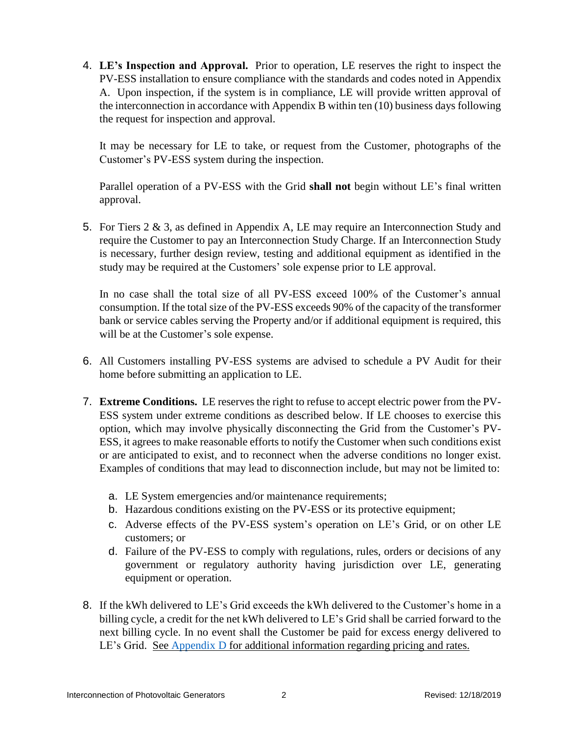4. **LE's Inspection and Approval.** Prior to operation, LE reserves the right to inspect the PV-ESS installation to ensure compliance with the standards and codes noted in Appendix A. Upon inspection, if the system is in compliance, LE will provide written approval of the interconnection in accordance with Appendix B within ten (10) business days following the request for inspection and approval.

It may be necessary for LE to take, or request from the Customer, photographs of the Customer's PV-ESS system during the inspection.

Parallel operation of a PV-ESS with the Grid **shall not** begin without LE's final written approval.

5. For Tiers 2 & 3, as defined in Appendix A, LE may require an Interconnection Study and require the Customer to pay an Interconnection Study Charge. If an Interconnection Study is necessary, further design review, testing and additional equipment as identified in the study may be required at the Customers' sole expense prior to LE approval.

In no case shall the total size of all PV-ESS exceed 100% of the Customer's annual consumption. If the total size of the PV-ESS exceeds 90% of the capacity of the transformer bank or service cables serving the Property and/or if additional equipment is required, this will be at the Customer's sole expense.

- 6. All Customers installing PV-ESS systems are advised to schedule a PV Audit for their home before submitting an application to LE.
- 7. **Extreme Conditions.** LE reserves the right to refuse to accept electric power from the PV-ESS system under extreme conditions as described below. If LE chooses to exercise this option, which may involve physically disconnecting the Grid from the Customer's PV-ESS, it agrees to make reasonable efforts to notify the Customer when such conditions exist or are anticipated to exist, and to reconnect when the adverse conditions no longer exist. Examples of conditions that may lead to disconnection include, but may not be limited to:
	- a. LE System emergencies and/or maintenance requirements;
	- b. Hazardous conditions existing on the PV-ESS or its protective equipment;
	- c. Adverse effects of the PV-ESS system's operation on LE's Grid, or on other LE customers; or
	- d. Failure of the PV-ESS to comply with regulations, rules, orders or decisions of any government or regulatory authority having jurisdiction over LE, generating equipment or operation.
- 8. If the kWh delivered to LE's Grid exceeds the kWh delivered to the Customer's home in a billing cycle, a credit for the net kWh delivered to LE's Grid shall be carried forward to the next billing cycle. In no event shall the Customer be paid for excess energy delivered to LE's Grid. See [Appendix D](#page--1-0) for additional information regarding pricing and rates.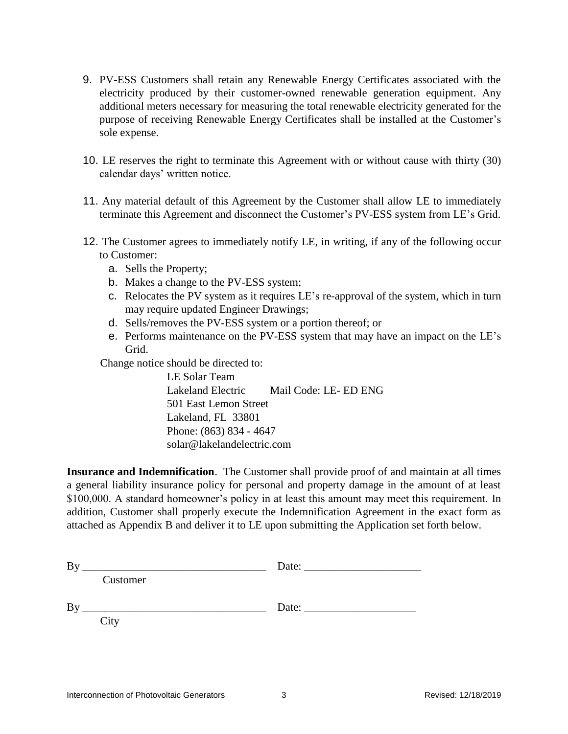- 9. PV-ESS Customers shall retain any Renewable Energy Certificates associated with the electricity produced by their customer-owned renewable generation equipment. Any additional meters necessary for measuring the total renewable electricity generated for the purpose of receiving Renewable Energy Certificates shall be installed at the Customer's sole expense.
- 10. LE reserves the right to terminate this Agreement with or without cause with thirty (30) calendar days' written notice.
- 11. Any material default of this Agreement by the Customer shall allow LE to immediately terminate this Agreement and disconnect the Customer's PV-ESS system from LE's Grid.
- 12. The Customer agrees to immediately notify LE, in writing, if any of the following occur to Customer:
	- a. Sells the Property;
	- b. Makes a change to the PV-ESS system;
	- c. Relocates the PV system as it requires LE's re-approval of the system, which in turn may require updated Engineer Drawings;
	- d. Sells/removes the PV-ESS system or a portion thereof; or
	- e. Performs maintenance on the PV-ESS system that may have an impact on the LE's Grid.

Change notice should be directed to:

LE Solar Team Lakeland Electric Mail Code: LE- ED ENG 501 East Lemon Street Lakeland, FL 33801 Phone: (863) 834 - 4647 solar@lakelandelectric.com

**Insurance and Indemnification**. The Customer shall provide proof of and maintain at all times a general liability insurance policy for personal and property damage in the amount of at least \$100,000. A standard homeowner's policy in at least this amount may meet this requirement. In addition, Customer shall properly execute the Indemnification Agreement in the exact form as attached as Appendix B and deliver it to LE upon submitting the Application set forth below.

| B <sub>1</sub> |          | Date: |  |
|----------------|----------|-------|--|
|                | Customer |       |  |
| By             |          | Date: |  |
|                | City     |       |  |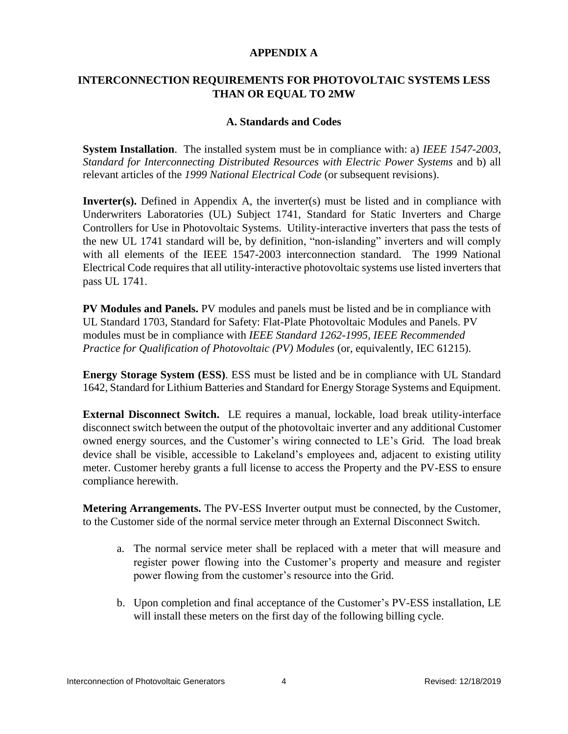#### **APPENDIX A**

#### **INTERCONNECTION REQUIREMENTS FOR PHOTOVOLTAIC SYSTEMS LESS THAN OR EQUAL TO 2MW**

#### **A. Standards and Codes**

**System Installation**. The installed system must be in compliance with: a) *IEEE 1547-2003, Standard for Interconnecting Distributed Resources with Electric Power Systems* and b) all relevant articles of the *1999 National Electrical Code* (or subsequent revisions).

**Inverter(s).** Defined in Appendix A, the inverter(s) must be listed and in compliance with Underwriters Laboratories (UL) Subject 1741, Standard for Static Inverters and Charge Controllers for Use in Photovoltaic Systems. Utility-interactive inverters that pass the tests of the new UL 1741 standard will be, by definition, "non-islanding" inverters and will comply with all elements of the IEEE 1547-2003 interconnection standard. The 1999 National Electrical Code requires that all utility-interactive photovoltaic systems use listed inverters that pass UL 1741.

**PV Modules and Panels.** PV modules and panels must be listed and be in compliance with UL Standard 1703, Standard for Safety: Flat-Plate Photovoltaic Modules and Panels. PV modules must be in compliance with *IEEE Standard 1262-1995, IEEE Recommended Practice for Qualification of Photovoltaic (PV) Modules (or, equivalently, IEC 61215).* 

**Energy Storage System (ESS)**. ESS must be listed and be in compliance with UL Standard 1642, Standard for Lithium Batteries and Standard for Energy Storage Systems and Equipment.

**External Disconnect Switch.** LE requires a manual, lockable, load break utility-interface disconnect switch between the output of the photovoltaic inverter and any additional Customer owned energy sources, and the Customer's wiring connected to LE's Grid. The load break device shall be visible, accessible to Lakeland's employees and, adjacent to existing utility meter. Customer hereby grants a full license to access the Property and the PV-ESS to ensure compliance herewith.

**Metering Arrangements.** The PV-ESS Inverter output must be connected, by the Customer, to the Customer side of the normal service meter through an External Disconnect Switch.

- a. The normal service meter shall be replaced with a meter that will measure and register power flowing into the Customer's property and measure and register power flowing from the customer's resource into the Grid.
- b. Upon completion and final acceptance of the Customer's PV-ESS installation, LE will install these meters on the first day of the following billing cycle.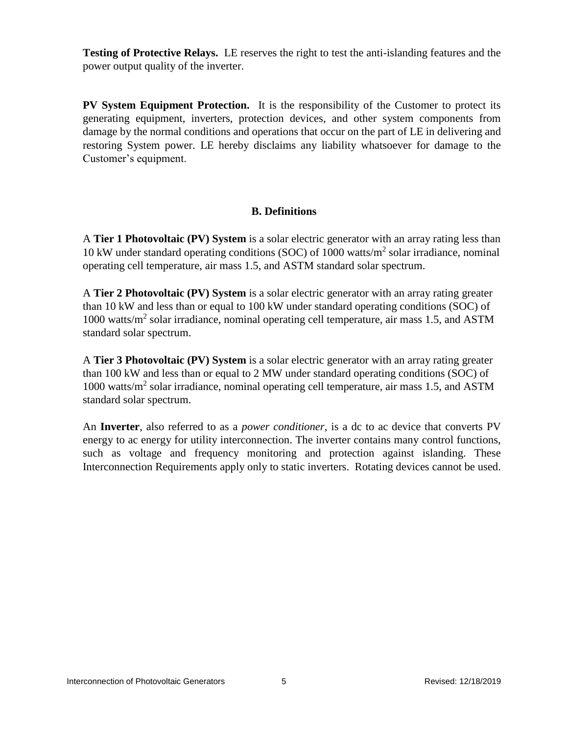**Testing of Protective Relays.** LE reserves the right to test the anti-islanding features and the power output quality of the inverter.

**PV System Equipment Protection.** It is the responsibility of the Customer to protect its generating equipment, inverters, protection devices, and other system components from damage by the normal conditions and operations that occur on the part of LE in delivering and restoring System power. LE hereby disclaims any liability whatsoever for damage to the Customer's equipment.

#### **B. Definitions**

A **Tier 1 Photovoltaic (PV) System** is a solar electric generator with an array rating less than 10 kW under standard operating conditions (SOC) of 1000 watts/m<sup>2</sup> solar irradiance, nominal operating cell temperature, air mass 1.5, and ASTM standard solar spectrum.

A **Tier 2 Photovoltaic (PV) System** is a solar electric generator with an array rating greater than 10 kW and less than or equal to 100 kW under standard operating conditions (SOC) of 1000 watts/m<sup>2</sup> solar irradiance, nominal operating cell temperature, air mass 1.5, and ASTM standard solar spectrum.

A **Tier 3 Photovoltaic (PV) System** is a solar electric generator with an array rating greater than 100 kW and less than or equal to 2 MW under standard operating conditions (SOC) of 1000 watts/m<sup>2</sup> solar irradiance, nominal operating cell temperature, air mass 1.5, and ASTM standard solar spectrum.

An **Inverter**, also referred to as a *power conditioner*, is a dc to ac device that converts PV energy to ac energy for utility interconnection. The inverter contains many control functions, such as voltage and frequency monitoring and protection against islanding. These Interconnection Requirements apply only to static inverters. Rotating devices cannot be used.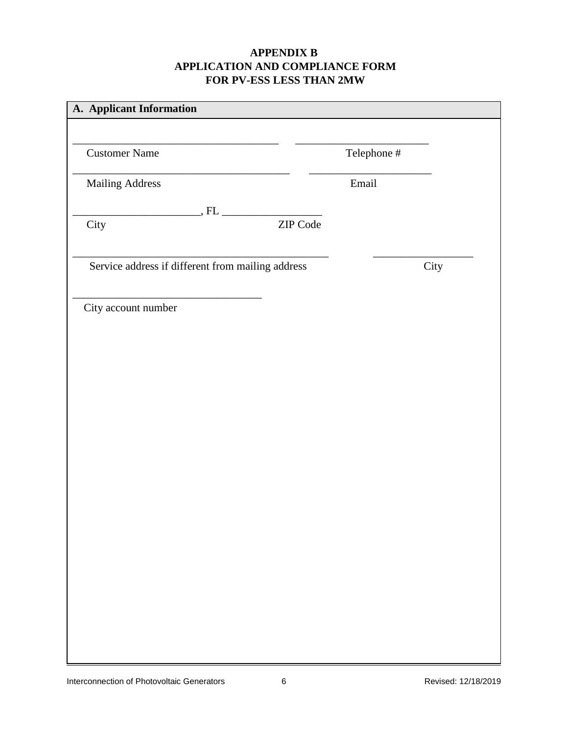# **APPENDIX B APPLICATION AND COMPLIANCE FORM FOR PV-ESS LESS THAN 2MW**

| <b>Customer Name</b>                                                |          | Telephone # |      |
|---------------------------------------------------------------------|----------|-------------|------|
| <b>Mailing Address</b>                                              |          | Email       |      |
|                                                                     |          |             |      |
| City                                                                | ZIP Code |             |      |
| Service address if different from mailing address                   |          |             | City |
| the control of the control of the control of<br>City account number |          |             |      |
|                                                                     |          |             |      |
|                                                                     |          |             |      |
|                                                                     |          |             |      |
|                                                                     |          |             |      |
|                                                                     |          |             |      |
|                                                                     |          |             |      |
|                                                                     |          |             |      |
|                                                                     |          |             |      |
|                                                                     |          |             |      |
|                                                                     |          |             |      |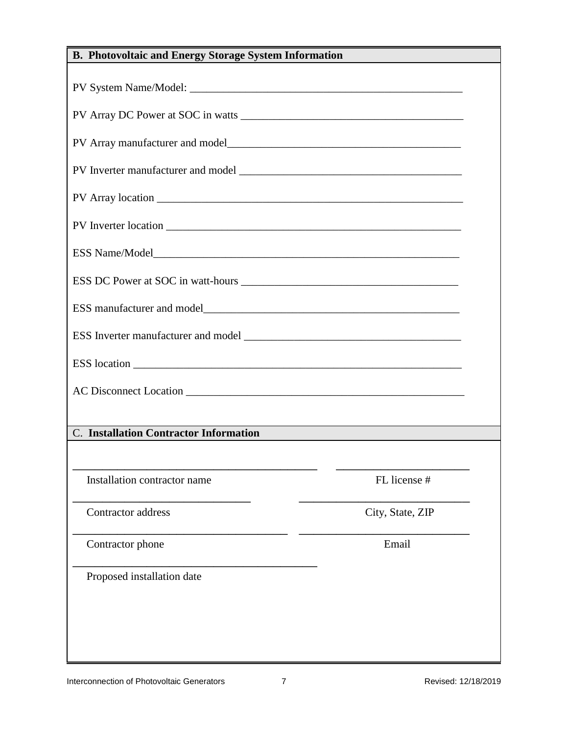| <b>B. Photovoltaic and Energy Storage System Information</b> |                  |  |
|--------------------------------------------------------------|------------------|--|
|                                                              |                  |  |
|                                                              |                  |  |
|                                                              |                  |  |
|                                                              |                  |  |
|                                                              |                  |  |
|                                                              |                  |  |
|                                                              |                  |  |
|                                                              |                  |  |
|                                                              |                  |  |
|                                                              |                  |  |
|                                                              |                  |  |
|                                                              |                  |  |
| <b>C.</b> Installation Contractor Information                |                  |  |
|                                                              |                  |  |
| Installation contractor name                                 | FL license #     |  |
| Contractor address                                           | City, State, ZIP |  |
| Contractor phone                                             | Email            |  |
| Proposed installation date                                   |                  |  |
|                                                              |                  |  |
|                                                              |                  |  |
|                                                              |                  |  |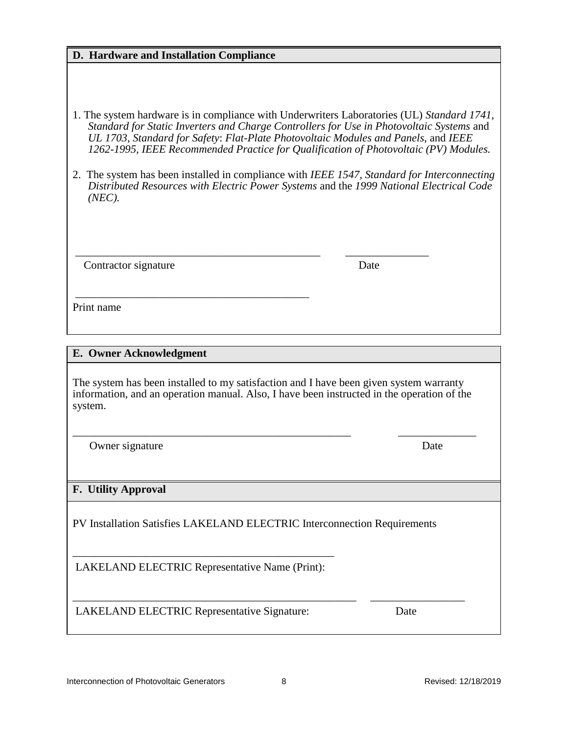| D. Hardware and Installation Compliance                                                                                                                                                                                    |                                                                                                                                                                                                                                                                        |  |  |
|----------------------------------------------------------------------------------------------------------------------------------------------------------------------------------------------------------------------------|------------------------------------------------------------------------------------------------------------------------------------------------------------------------------------------------------------------------------------------------------------------------|--|--|
| 1. The system hardware is in compliance with Underwriters Laboratories (UL) Standard 1741,                                                                                                                                 |                                                                                                                                                                                                                                                                        |  |  |
|                                                                                                                                                                                                                            | Standard for Static Inverters and Charge Controllers for Use in Photovoltaic Systems and<br>UL 1703, Standard for Safety: Flat-Plate Photovoltaic Modules and Panels, and IEEE<br>1262-1995, IEEE Recommended Practice for Qualification of Photovoltaic (PV) Modules. |  |  |
| 2. The system has been installed in compliance with IEEE 1547, Standard for Interconnecting<br>Distributed Resources with Electric Power Systems and the 1999 National Electrical Code<br>(NEC).                           |                                                                                                                                                                                                                                                                        |  |  |
| Contractor signature                                                                                                                                                                                                       | Date                                                                                                                                                                                                                                                                   |  |  |
| Print name                                                                                                                                                                                                                 |                                                                                                                                                                                                                                                                        |  |  |
|                                                                                                                                                                                                                            |                                                                                                                                                                                                                                                                        |  |  |
|                                                                                                                                                                                                                            |                                                                                                                                                                                                                                                                        |  |  |
| E. Owner Acknowledgment<br>The system has been installed to my satisfaction and I have been given system warranty<br>information, and an operation manual. Also, I have been instructed in the operation of the<br>system. |                                                                                                                                                                                                                                                                        |  |  |
| Owner signature                                                                                                                                                                                                            | Date                                                                                                                                                                                                                                                                   |  |  |
| <b>F.</b> Utility Approval                                                                                                                                                                                                 |                                                                                                                                                                                                                                                                        |  |  |
| PV Installation Satisfies LAKELAND ELECTRIC Interconnection Requirements                                                                                                                                                   |                                                                                                                                                                                                                                                                        |  |  |
| LAKELAND ELECTRIC Representative Name (Print):                                                                                                                                                                             |                                                                                                                                                                                                                                                                        |  |  |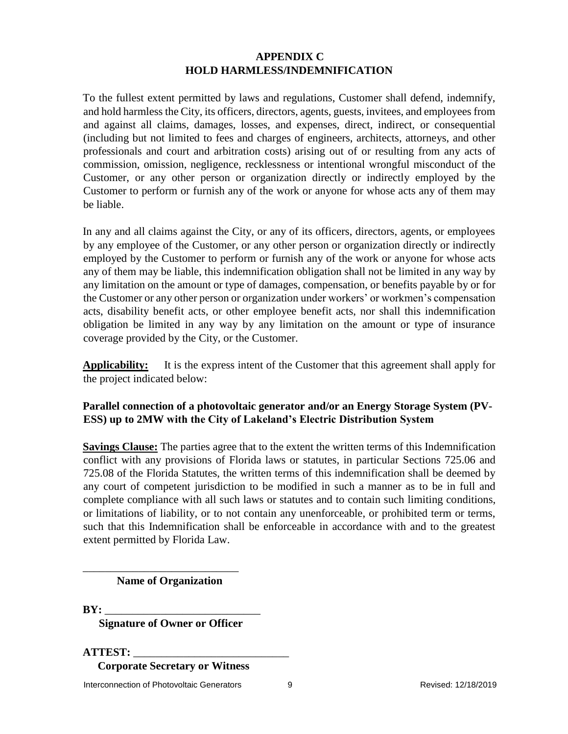# **APPENDIX C HOLD HARMLESS/INDEMNIFICATION**

To the fullest extent permitted by laws and regulations, Customer shall defend, indemnify, and hold harmless the City, its officers, directors, agents, guests, invitees, and employees from and against all claims, damages, losses, and expenses, direct, indirect, or consequential (including but not limited to fees and charges of engineers, architects, attorneys, and other professionals and court and arbitration costs) arising out of or resulting from any acts of commission, omission, negligence, recklessness or intentional wrongful misconduct of the Customer, or any other person or organization directly or indirectly employed by the Customer to perform or furnish any of the work or anyone for whose acts any of them may be liable.

In any and all claims against the City, or any of its officers, directors, agents, or employees by any employee of the Customer, or any other person or organization directly or indirectly employed by the Customer to perform or furnish any of the work or anyone for whose acts any of them may be liable, this indemnification obligation shall not be limited in any way by any limitation on the amount or type of damages, compensation, or benefits payable by or for the Customer or any other person or organization under workers' or workmen's compensation acts, disability benefit acts, or other employee benefit acts, nor shall this indemnification obligation be limited in any way by any limitation on the amount or type of insurance coverage provided by the City, or the Customer.

**Applicability:** It is the express intent of the Customer that this agreement shall apply for the project indicated below:

# **Parallel connection of a photovoltaic generator and/or an Energy Storage System (PV-ESS) up to 2MW with the City of Lakeland's Electric Distribution System**

**Savings Clause:** The parties agree that to the extent the written terms of this Indemnification conflict with any provisions of Florida laws or statutes, in particular Sections 725.06 and 725.08 of the Florida Statutes, the written terms of this indemnification shall be deemed by any court of competent jurisdiction to be modified in such a manner as to be in full and complete compliance with all such laws or statutes and to contain such limiting conditions, or limitations of liability, or to not contain any unenforceable, or prohibited term or terms, such that this Indemnification shall be enforceable in accordance with and to the greatest extent permitted by Florida Law.

#### **Name of Organization**

\_\_\_\_\_\_\_\_\_\_\_\_\_\_\_\_\_\_\_\_\_\_\_\_\_\_\_\_

BY:

**Signature of Owner or Officer** 

**ATTEST:** \_\_\_\_\_\_\_\_\_\_\_\_\_\_\_\_\_\_\_\_\_\_\_\_\_\_\_\_

**Corporate Secretary or Witness**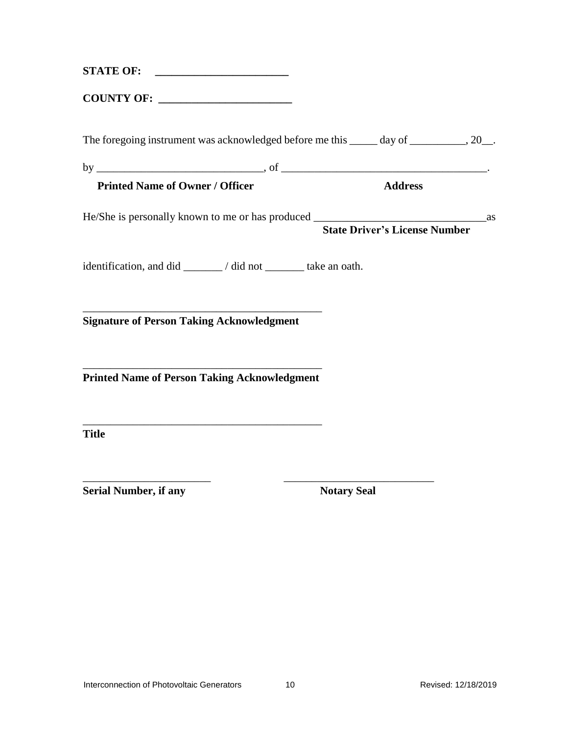| The foregoing instrument was acknowledged before me this _____ day of __________, 20__. |                    |
|-----------------------------------------------------------------------------------------|--------------------|
|                                                                                         |                    |
| <b>Printed Name of Owner / Officer</b>                                                  | <b>Address</b>     |
| He/She is personally known to me or has produced State Driver's License Number as       |                    |
| identification, and did _______/ did not _______ take an oath.                          |                    |
| <b>Signature of Person Taking Acknowledgment</b>                                        |                    |
| <b>Printed Name of Person Taking Acknowledgment</b>                                     |                    |
| <u> 1989 - Johann Barbara, margaret eta biztanleria (h. 1989).</u><br><b>Title</b>      |                    |
| <b>Serial Number, if any</b>                                                            | <b>Notary Seal</b> |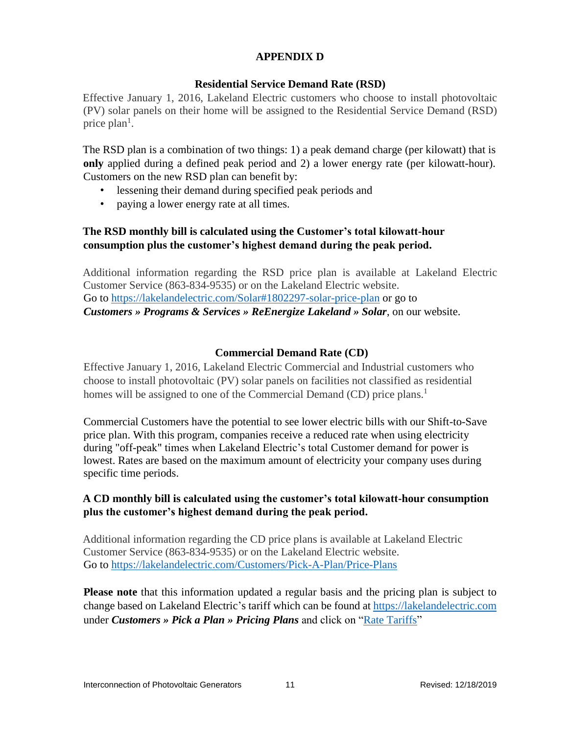# **APPENDIX D**

#### **Residential Service Demand Rate (RSD)**

Effective January 1, 2016, Lakeland Electric customers who choose to install photovoltaic (PV) solar panels on their home will be assigned to the Residential Service Demand (RSD) price  $plan<sup>1</sup>$ .

The RSD plan is a combination of two things: 1) a peak demand charge (per kilowatt) that is **only** applied during a defined peak period and 2) a lower energy rate (per kilowatt-hour). Customers on the new RSD plan can benefit by:

- lessening their demand during specified peak periods and
- paying a lower energy rate at all times.

### **The RSD monthly bill is calculated using the Customer's total kilowatt-hour consumption plus the customer's highest demand during the peak period.**

Additional information regarding the RSD price plan is available at Lakeland Electric Customer Service (863-834-9535) or on the Lakeland Electric website. Go to<https://lakelandelectric.com/Solar#1802297-solar-price-plan> or go to *Customers » Programs & Services » ReEnergize Lakeland » Solar*, on our website.

# **Commercial Demand Rate (CD)**

Effective January 1, 2016, Lakeland Electric Commercial and Industrial customers who choose to install photovoltaic (PV) solar panels on facilities not classified as residential homes will be assigned to one of the Commercial Demand (CD) price plans.<sup>1</sup>

Commercial Customers have the potential to see lower electric bills with our Shift-to-Save price plan. With this program, companies receive a reduced rate when using electricity during "off-peak" times when Lakeland Electric's total Customer demand for power is lowest. Rates are based on the maximum amount of electricity your company uses during specific time periods.

# **A CD monthly bill is calculated using the customer's total kilowatt-hour consumption plus the customer's highest demand during the peak period.**

Additional information regarding the CD price plans is available at Lakeland Electric Customer Service (863-834-9535) or on the Lakeland Electric website. Go to<https://lakelandelectric.com/Customers/Pick-A-Plan/Price-Plans>

**Please note** that this information updated a regular basis and the pricing plan is subject to change based on Lakeland Electric's tariff which can be found at [https://lakelandelectric.com](https://lakelandelectric.com/) under *Customers » Pick a Plan » Pricing Plans* and click on ["Rate Tariffs"](https://lakelandelectric.com/Portals/Lakeland/Docs/Misc/20190701%20RateTar.pdf?ver=2019-07-02-172841-960)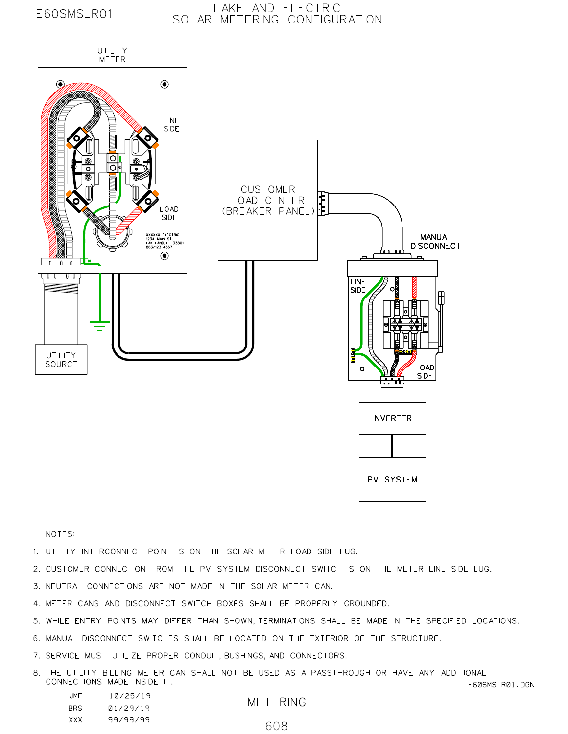# E60SMSLR01

#### LAKELAND ELECTRIC SOLAR METERING CONFIGURATION



NOTES:

1. UTILITY INTERCONNECT POINT IS ON THE SOLAR METER LOAD SIDE LUG.

2. CUSTOMER CONNECTION FROM THE PV SYSTEM DISCONNECT SWITCH IS ON THE METER LINE SIDE LUG.

3. NEUTRAL CONNECTIONS ARE NOT MADE IN THE SOLAR METER CAN.

4. METER CANS AND DISCONNECT SWITCH BOXES SHALL BE PROPERLY GROUNDED.

5. WHILE ENTRY POINTS MAY DIFFER THAN SHOWN, TERMINATIONS SHALL BE MADE IN THE SPECIFIED LOCATIONS.

6. MANUAL DISCONNECT SWITCHES SHALL BE LOCATED ON THE EXTERIOR OF THE STRUCTURE.

7. SERVICE MUST UTILIZE PROPER CONDUIT, BUSHINGS, AND CONNECTORS.

8. THE UTILITY BILLING METER CAN SHALL NOT BE USED AS A PASSTHROUGH OR HAVE ANY ADDITIONAL CONNECTIONS MADE INSIDE IT. E60SMSLR01.DGN

| JMF        | 10/25/19 |  |
|------------|----------|--|
| <b>BRS</b> | 01/29/19 |  |
| XXX        | 99/99/99 |  |

**METERING** 

608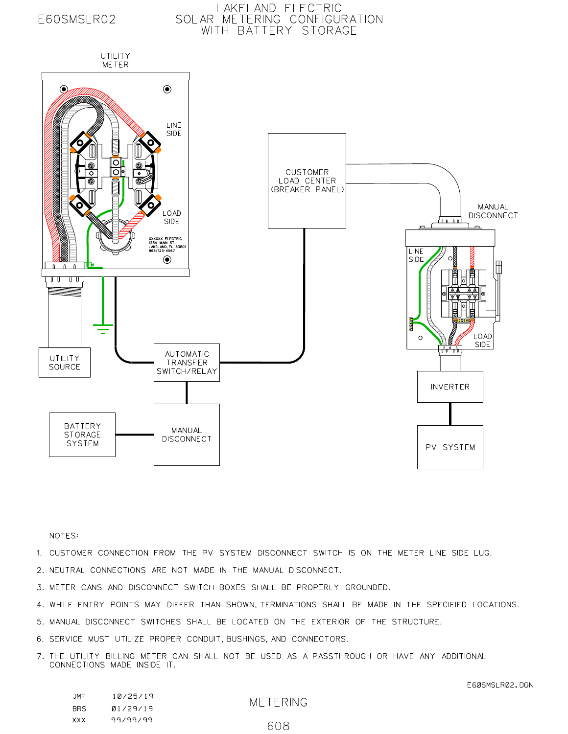# E60SMSLR02

# LAKELAND ELECTRIC<br>SOLAR METERING CONFIGURATION WITH BATTERY STORAGE



#### NOTES:

- 1. CUSTOMER CONNECTION FROM THE PV SYSTEM DISCONNECT SWITCH IS ON THE METER LINE SIDE LUG.
- 2. NEUTRAL CONNECTIONS ARE NOT MADE IN THE MANUAL DISCONNECT.
- 3. METER CANS AND DISCONNECT SWITCH BOXES SHALL BE PROPERLY GROUNDED.
- 4. WHILE ENTRY POINTS MAY DIFFER THAN SHOWN, TERMINATIONS SHALL BE MADE IN THE SPECIFIED LOCATIONS.
- 5. MANUAL DISCONNECT SWITCHES SHALL BE LOCATED ON THE EXTERIOR OF THE STRUCTURE.
- 6. SERVICE MUST UTILIZE PROPER CONDUIT, BUSHINGS, AND CONNECTORS.
- 7. THE UTILITY BILLING METER CAN SHALL NOT BE USED AS A PASSTHROUGH OR HAVE ANY ADDITIONAL CONNECTIONS MADE INSIDE IT.

| JMF  | 10/25/19 |  |
|------|----------|--|
| BRS. | 01/29/19 |  |
| xxx  | 99/99/99 |  |

**METERING**